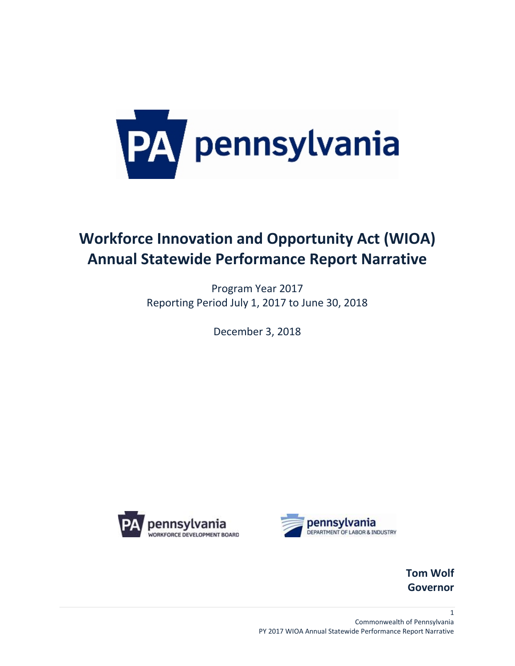

# **Workforce Innovation and Opportunity Act (WIOA) Annual Statewide Performance Report Narrative**

Program Year 2017 Reporting Period July 1, 2017 to June 30, 2018

December 3, 2018





**Tom Wolf Governor**

1 Commonwealth of Pennsylvania PY 2017 WIOA Annual Statewide Performance Report Narrative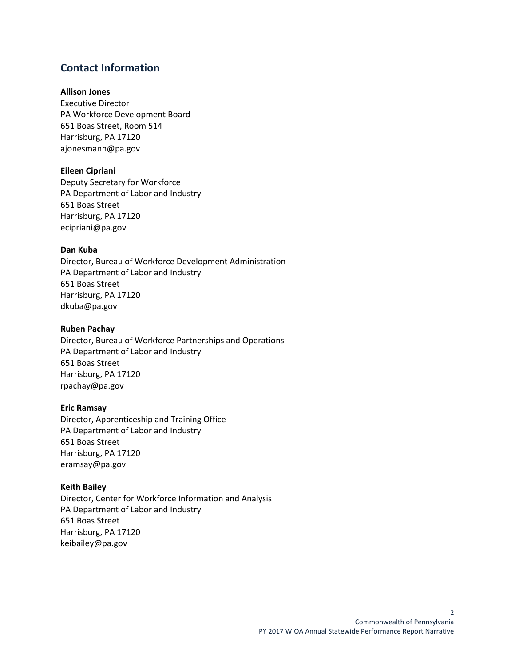### **Contact Information**

#### **Allison Jones**

Executive Director PA Workforce Development Board 651 Boas Street, Room 514 Harrisburg, PA 17120 ajonesmann@pa.gov

#### **Eileen Cipriani**

Deputy Secretary for Workforce PA Department of Labor and Industry 651 Boas Street Harrisburg, PA 17120 ecipriani@pa.gov

#### **Dan Kuba**

Director, Bureau of Workforce Development Administration PA Department of Labor and Industry 651 Boas Street Harrisburg, PA 17120 dkuba@pa.gov

#### **Ruben Pachay**

Director, Bureau of Workforce Partnerships and Operations PA Department of Labor and Industry 651 Boas Street Harrisburg, PA 17120 rpachay@pa.gov

#### **Eric Ramsay**

Director, Apprenticeship and Training Office PA Department of Labor and Industry 651 Boas Street Harrisburg, PA 17120 eramsay@pa.gov

#### **Keith Bailey**

Director, Center for Workforce Information and Analysis PA Department of Labor and Industry 651 Boas Street Harrisburg, PA 17120 keibailey@pa.gov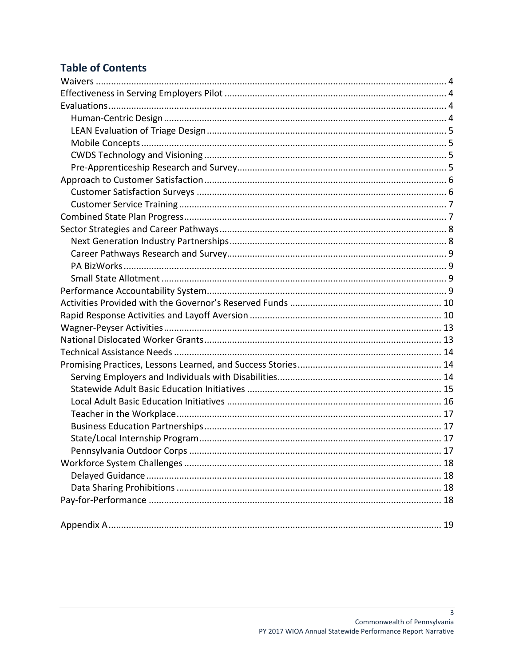# **Table of Contents**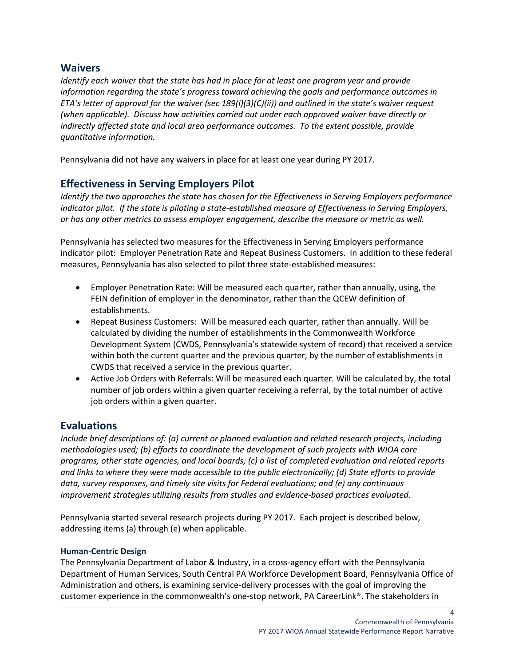### <span id="page-3-0"></span>**Waivers**

*Identify each waiver that the state has had in place for at least one program year and provide information regarding the state's progress toward achieving the goals and performance outcomes in ETA's letter of approval for the waiver (sec 189(i)(3)(C)(ii)) and outlined in the state's waiver request (when applicable). Discuss how activities carried out under each approved waiver have directly or indirectly affected state and local area performance outcomes. To the extent possible, provide quantitative information.*

Pennsylvania did not have any waivers in place for at least one year during PY 2017.

### <span id="page-3-1"></span>**Effectiveness in Serving Employers Pilot**

*Identify the two approaches the state has chosen for the Effectiveness in Serving Employers performance indicator pilot. If the state is piloting a state-established measure of Effectiveness in Serving Employers, or has any other metrics to assess employer engagement, describe the measure or metric as well.*

Pennsylvania has selected two measures for the Effectiveness in Serving Employers performance indicator pilot: Employer Penetration Rate and Repeat Business Customers. In addition to these federal measures, Pennsylvania has also selected to pilot three state-established measures:

- Employer Penetration Rate: Will be measured each quarter, rather than annually, using, the FEIN definition of employer in the denominator, rather than the QCEW definition of establishments.
- Repeat Business Customers: Will be measured each quarter, rather than annually. Will be calculated by dividing the number of establishments in the Commonwealth Workforce Development System (CWDS, Pennsylvania's statewide system of record) that received a service within both the current quarter and the previous quarter, by the number of establishments in CWDS that received a service in the previous quarter.
- Active Job Orders with Referrals: Will be measured each quarter. Will be calculated by, the total number of job orders within a given quarter receiving a referral, by the total number of active job orders within a given quarter.

### <span id="page-3-2"></span>**Evaluations**

*Include brief descriptions of: (a) current or planned evaluation and related research projects, including methodologies used; (b) efforts to coordinate the development of such projects with WIOA core programs, other state agencies, and local boards; (c) a list of completed evaluation and related reports and links to where they were made accessible to the public electronically; (d) State efforts to provide data, survey responses, and timely site visits for Federal evaluations; and (e) any continuous improvement strategies utilizing results from studies and evidence-based practices evaluated.*

Pennsylvania started several research projects during PY 2017. Each project is described below, addressing items (a) through (e) when applicable.

#### <span id="page-3-3"></span>**Human-Centric Design**

The Pennsylvania Department of Labor & Industry, in a cross-agency effort with the Pennsylvania Department of Human Services, South Central PA Workforce Development Board, Pennsylvania Office of Administration and others, is examining service-delivery processes with the goal of improving the customer experience in the commonwealth's one-stop network, PA CareerLink®. The stakeholders in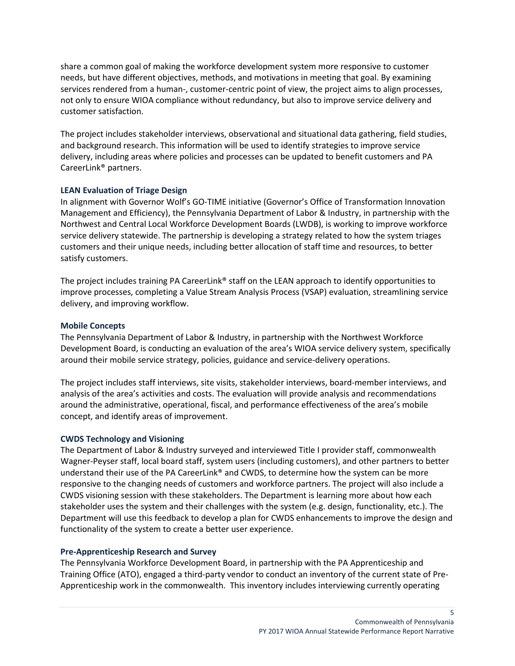share a common goal of making the workforce development system more responsive to customer needs, but have different objectives, methods, and motivations in meeting that goal. By examining services rendered from a human-, customer-centric point of view, the project aims to align processes, not only to ensure WIOA compliance without redundancy, but also to improve service delivery and customer satisfaction.

The project includes stakeholder interviews, observational and situational data gathering, field studies, and background research. This information will be used to identify strategies to improve service delivery, including areas where policies and processes can be updated to benefit customers and PA CareerLink® partners.

#### <span id="page-4-0"></span>**LEAN Evaluation of Triage Design**

In alignment with Governor Wolf's GO-TIME initiative (Governor's Office of Transformation Innovation Management and Efficiency), the Pennsylvania Department of Labor & Industry, in partnership with the Northwest and Central Local Workforce Development Boards (LWDB), is working to improve workforce service delivery statewide. The partnership is developing a strategy related to how the system triages customers and their unique needs, including better allocation of staff time and resources, to better satisfy customers.

The project includes training PA CareerLink® staff on the LEAN approach to identify opportunities to improve processes, completing a Value Stream Analysis Process (VSAP) evaluation, streamlining service delivery, and improving workflow.

#### <span id="page-4-1"></span>**Mobile Concepts**

The Pennsylvania Department of Labor & Industry, in partnership with the Northwest Workforce Development Board, is conducting an evaluation of the area's WIOA service delivery system, specifically around their mobile service strategy, policies, guidance and service-delivery operations.

The project includes staff interviews, site visits, stakeholder interviews, board-member interviews, and analysis of the area's activities and costs. The evaluation will provide analysis and recommendations around the administrative, operational, fiscal, and performance effectiveness of the area's mobile concept, and identify areas of improvement.

#### <span id="page-4-2"></span>**CWDS Technology and Visioning**

The Department of Labor & Industry surveyed and interviewed Title I provider staff, commonwealth Wagner-Peyser staff, local board staff, system users (including customers), and other partners to better understand their use of the PA CareerLink® and CWDS, to determine how the system can be more responsive to the changing needs of customers and workforce partners. The project will also include a CWDS visioning session with these stakeholders. The Department is learning more about how each stakeholder uses the system and their challenges with the system (e.g. design, functionality, etc.). The Department will use this feedback to develop a plan for CWDS enhancements to improve the design and functionality of the system to create a better user experience.

#### <span id="page-4-3"></span>**Pre-Apprenticeship Research and Survey**

The Pennsylvania Workforce Development Board, in partnership with the PA Apprenticeship and Training Office (ATO), engaged a third-party vendor to conduct an inventory of the current state of Pre-Apprenticeship work in the commonwealth. This inventory includes interviewing currently operating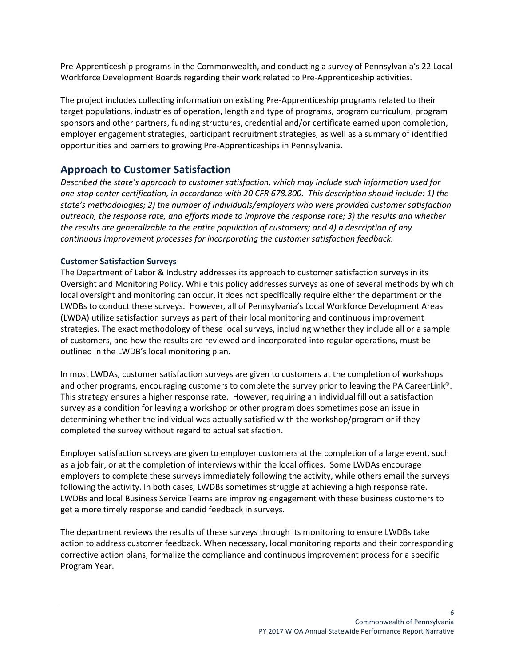Pre-Apprenticeship programs in the Commonwealth, and conducting a survey of Pennsylvania's 22 Local Workforce Development Boards regarding their work related to Pre-Apprenticeship activities.

The project includes collecting information on existing Pre-Apprenticeship programs related to their target populations, industries of operation, length and type of programs, program curriculum, program sponsors and other partners, funding structures, credential and/or certificate earned upon completion, employer engagement strategies, participant recruitment strategies, as well as a summary of identified opportunities and barriers to growing Pre-Apprenticeships in Pennsylvania.

### <span id="page-5-0"></span>**Approach to Customer Satisfaction**

*Described the state's approach to customer satisfaction, which may include such information used for one-stop center certification, in accordance with 20 CFR 678.800. This description should include: 1) the state's methodologies; 2) the number of individuals/employers who were provided customer satisfaction outreach, the response rate, and efforts made to improve the response rate; 3) the results and whether the results are generalizable to the entire population of customers; and 4) a description of any continuous improvement processes for incorporating the customer satisfaction feedback.*

#### <span id="page-5-1"></span>**Customer Satisfaction Surveys**

The Department of Labor & Industry addresses its approach to customer satisfaction surveys in its Oversight and Monitoring Policy. While this policy addresses surveys as one of several methods by which local oversight and monitoring can occur, it does not specifically require either the department or the LWDBs to conduct these surveys. However, all of Pennsylvania's Local Workforce Development Areas (LWDA) utilize satisfaction surveys as part of their local monitoring and continuous improvement strategies. The exact methodology of these local surveys, including whether they include all or a sample of customers, and how the results are reviewed and incorporated into regular operations, must be outlined in the LWDB's local monitoring plan.

In most LWDAs, customer satisfaction surveys are given to customers at the completion of workshops and other programs, encouraging customers to complete the survey prior to leaving the PA CareerLink®. This strategy ensures a higher response rate. However, requiring an individual fill out a satisfaction survey as a condition for leaving a workshop or other program does sometimes pose an issue in determining whether the individual was actually satisfied with the workshop/program or if they completed the survey without regard to actual satisfaction.

Employer satisfaction surveys are given to employer customers at the completion of a large event, such as a job fair, or at the completion of interviews within the local offices. Some LWDAs encourage employers to complete these surveys immediately following the activity, while others email the surveys following the activity. In both cases, LWDBs sometimes struggle at achieving a high response rate. LWDBs and local Business Service Teams are improving engagement with these business customers to get a more timely response and candid feedback in surveys.

The department reviews the results of these surveys through its monitoring to ensure LWDBs take action to address customer feedback. When necessary, local monitoring reports and their corresponding corrective action plans, formalize the compliance and continuous improvement process for a specific Program Year.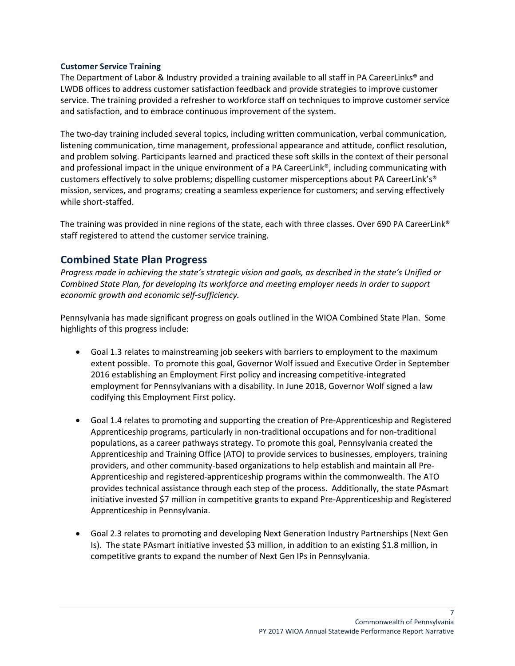#### <span id="page-6-0"></span>**Customer Service Training**

The Department of Labor & Industry provided a training available to all staff in PA CareerLinks® and LWDB offices to address customer satisfaction feedback and provide strategies to improve customer service. The training provided a refresher to workforce staff on techniques to improve customer service and satisfaction, and to embrace continuous improvement of the system.

The two-day training included several topics, including written communication, verbal communication, listening communication, time management, professional appearance and attitude, conflict resolution, and problem solving. Participants learned and practiced these soft skills in the context of their personal and professional impact in the unique environment of a PA CareerLink®, including communicating with customers effectively to solve problems; dispelling customer misperceptions about PA CareerLink's® mission, services, and programs; creating a seamless experience for customers; and serving effectively while short-staffed.

The training was provided in nine regions of the state, each with three classes. Over 690 PA CareerLink® staff registered to attend the customer service training.

### <span id="page-6-1"></span>**Combined State Plan Progress**

*Progress made in achieving the state's strategic vision and goals, as described in the state's Unified or Combined State Plan, for developing its workforce and meeting employer needs in order to support economic growth and economic self-sufficiency.*

Pennsylvania has made significant progress on goals outlined in the WIOA Combined State Plan. Some highlights of this progress include:

- Goal 1.3 relates to mainstreaming job seekers with barriers to employment to the maximum extent possible. To promote this goal, Governor Wolf issued and Executive Order in September 2016 establishing an Employment First policy and increasing competitive-integrated employment for Pennsylvanians with a disability. In June 2018, Governor Wolf signed a law codifying this Employment First policy.
- Goal 1.4 relates to promoting and supporting the creation of Pre-Apprenticeship and Registered Apprenticeship programs, particularly in non-traditional occupations and for non-traditional populations, as a career pathways strategy. To promote this goal, Pennsylvania created the Apprenticeship and Training Office (ATO) to provide services to businesses, employers, training providers, and other community-based organizations to help establish and maintain all Pre-Apprenticeship and registered-apprenticeship programs within the commonwealth. The ATO provides technical assistance through each step of the process. Additionally, the state PAsmart initiative invested \$7 million in competitive grants to expand Pre-Apprenticeship and Registered Apprenticeship in Pennsylvania.
- Goal 2.3 relates to promoting and developing Next Generation Industry Partnerships (Next Gen Is). The state PAsmart initiative invested \$3 million, in addition to an existing \$1.8 million, in competitive grants to expand the number of Next Gen IPs in Pennsylvania.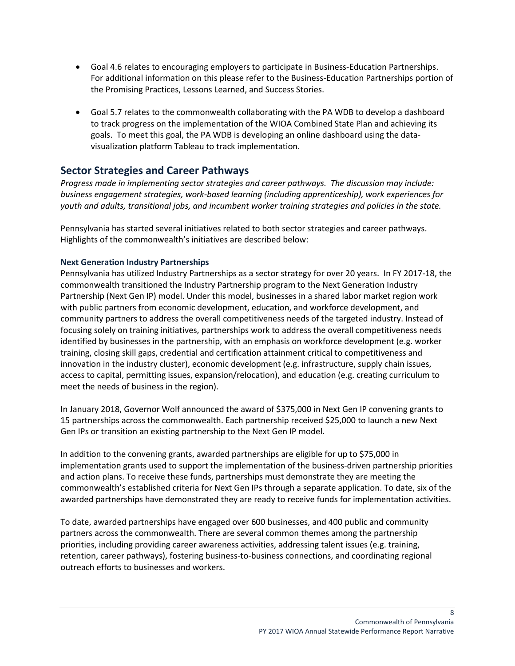- Goal 4.6 relates to encouraging employers to participate in Business-Education Partnerships. For additional information on this please refer to the Business-Education Partnerships portion of the Promising Practices, Lessons Learned, and Success Stories.
- Goal 5.7 relates to the commonwealth collaborating with the PA WDB to develop a dashboard to track progress on the implementation of the WIOA Combined State Plan and achieving its goals. To meet this goal, the PA WDB is developing an online dashboard using the datavisualization platform Tableau to track implementation.

### <span id="page-7-0"></span>**Sector Strategies and Career Pathways**

*Progress made in implementing sector strategies and career pathways. The discussion may include: business engagement strategies, work-based learning (including apprenticeship), work experiences for youth and adults, transitional jobs, and incumbent worker training strategies and policies in the state.*

Pennsylvania has started several initiatives related to both sector strategies and career pathways. Highlights of the commonwealth's initiatives are described below:

#### <span id="page-7-1"></span>**Next Generation Industry Partnerships**

Pennsylvania has utilized Industry Partnerships as a sector strategy for over 20 years. In FY 2017-18, the commonwealth transitioned the Industry Partnership program to the Next Generation Industry Partnership (Next Gen IP) model. Under this model, businesses in a shared labor market region work with public partners from economic development, education, and workforce development, and community partners to address the overall competitiveness needs of the targeted industry. Instead of focusing solely on training initiatives, partnerships work to address the overall competitiveness needs identified by businesses in the partnership, with an emphasis on workforce development (e.g. worker training, closing skill gaps, credential and certification attainment critical to competitiveness and innovation in the industry cluster), economic development (e.g. infrastructure, supply chain issues, access to capital, permitting issues, expansion/relocation), and education (e.g. creating curriculum to meet the needs of business in the region).

In January 2018, Governor Wolf announced the award of \$375,000 in Next Gen IP convening grants to 15 partnerships across the commonwealth. Each partnership received \$25,000 to launch a new Next Gen IPs or transition an existing partnership to the Next Gen IP model.

In addition to the convening grants, awarded partnerships are eligible for up to \$75,000 in implementation grants used to support the implementation of the business-driven partnership priorities and action plans. To receive these funds, partnerships must demonstrate they are meeting the commonwealth's established criteria for Next Gen IPs through a separate application. To date, six of the awarded partnerships have demonstrated they are ready to receive funds for implementation activities.

To date, awarded partnerships have engaged over 600 businesses, and 400 public and community partners across the commonwealth. There are several common themes among the partnership priorities, including providing career awareness activities, addressing talent issues (e.g. training, retention, career pathways), fostering business-to-business connections, and coordinating regional outreach efforts to businesses and workers.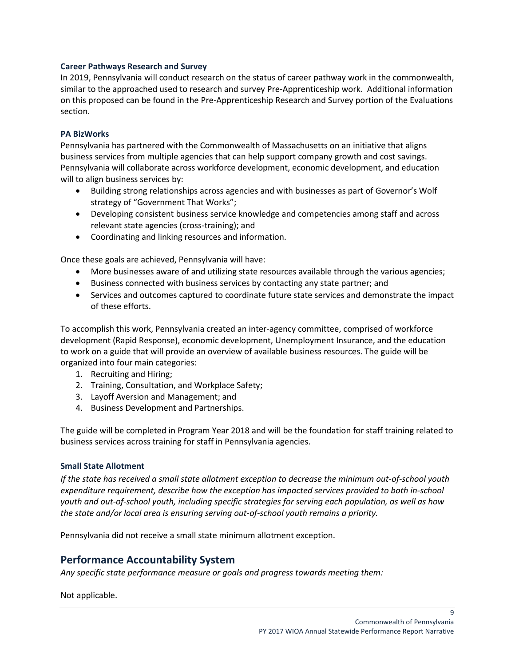#### <span id="page-8-0"></span>**Career Pathways Research and Survey**

In 2019, Pennsylvania will conduct research on the status of career pathway work in the commonwealth, similar to the approached used to research and survey Pre-Apprenticeship work. Additional information on this proposed can be found in the Pre-Apprenticeship Research and Survey portion of the Evaluations section.

#### <span id="page-8-1"></span>**PA BizWorks**

Pennsylvania has partnered with the Commonwealth of Massachusetts on an initiative that aligns business services from multiple agencies that can help support company growth and cost savings. Pennsylvania will collaborate across workforce development, economic development, and education will to align business services by:

- Building strong relationships across agencies and with businesses as part of Governor's Wolf strategy of "Government That Works";
- Developing consistent business service knowledge and competencies among staff and across relevant state agencies (cross-training); and
- Coordinating and linking resources and information.

Once these goals are achieved, Pennsylvania will have:

- More businesses aware of and utilizing state resources available through the various agencies;
- Business connected with business services by contacting any state partner; and
- Services and outcomes captured to coordinate future state services and demonstrate the impact of these efforts.

To accomplish this work, Pennsylvania created an inter-agency committee, comprised of workforce development (Rapid Response), economic development, Unemployment Insurance, and the education to work on a guide that will provide an overview of available business resources. The guide will be organized into four main categories:

- 1. Recruiting and Hiring;
- 2. Training, Consultation, and Workplace Safety;
- 3. Layoff Aversion and Management; and
- 4. Business Development and Partnerships.

The guide will be completed in Program Year 2018 and will be the foundation for staff training related to business services across training for staff in Pennsylvania agencies.

#### <span id="page-8-2"></span>**Small State Allotment**

*If the state has received a small state allotment exception to decrease the minimum out-of-school youth expenditure requirement, describe how the exception has impacted services provided to both in-school youth and out-of-school youth, including specific strategies for serving each population, as well as how the state and/or local area is ensuring serving out-of-school youth remains a priority.*

Pennsylvania did not receive a small state minimum allotment exception.

### <span id="page-8-3"></span>**Performance Accountability System**

*Any specific state performance measure or goals and progress towards meeting them:*

Not applicable.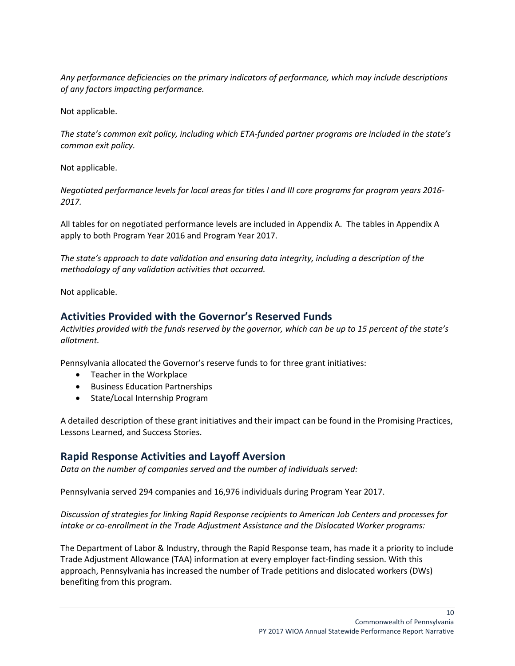*Any performance deficiencies on the primary indicators of performance, which may include descriptions of any factors impacting performance.*

Not applicable.

*The state's common exit policy, including which ETA-funded partner programs are included in the state's common exit policy.*

Not applicable.

*Negotiated performance levels for local areas for titles I and III core programs for program years 2016- 2017.*

All tables for on negotiated performance levels are included in Appendix A. The tables in Appendix A apply to both Program Year 2016 and Program Year 2017.

*The state's approach to date validation and ensuring data integrity, including a description of the methodology of any validation activities that occurred.*

Not applicable.

### <span id="page-9-0"></span>**Activities Provided with the Governor's Reserved Funds**

*Activities provided with the funds reserved by the governor, which can be up to 15 percent of the state's allotment.* 

Pennsylvania allocated the Governor's reserve funds to for three grant initiatives:

- Teacher in the Workplace
- Business Education Partnerships
- State/Local Internship Program

A detailed description of these grant initiatives and their impact can be found in the Promising Practices, Lessons Learned, and Success Stories.

### <span id="page-9-1"></span>**Rapid Response Activities and Layoff Aversion**

*Data on the number of companies served and the number of individuals served:*

Pennsylvania served 294 companies and 16,976 individuals during Program Year 2017.

*Discussion of strategies for linking Rapid Response recipients to American Job Centers and processes for intake or co-enrollment in the Trade Adjustment Assistance and the Dislocated Worker programs:*

The Department of Labor & Industry, through the Rapid Response team, has made it a priority to include Trade Adjustment Allowance (TAA) information at every employer fact-finding session. With this approach, Pennsylvania has increased the number of Trade petitions and dislocated workers (DWs) benefiting from this program.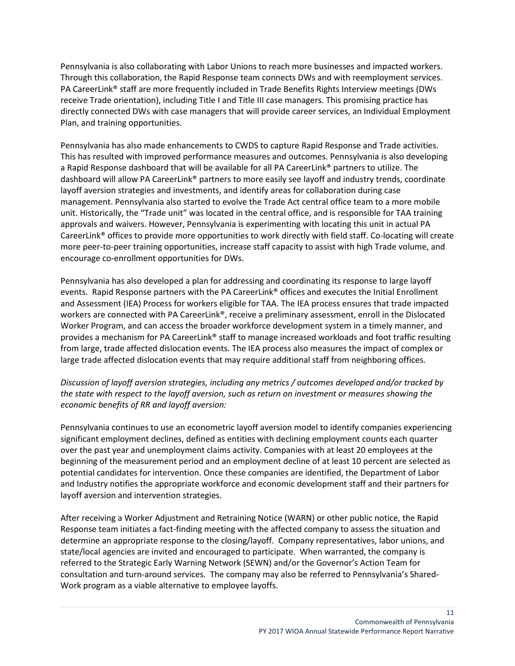Pennsylvania is also collaborating with Labor Unions to reach more businesses and impacted workers. Through this collaboration, the Rapid Response team connects DWs and with reemployment services. PA CareerLink® staff are more frequently included in Trade Benefits Rights Interview meetings (DWs receive Trade orientation), including Title I and Title III case managers. This promising practice has directly connected DWs with case managers that will provide career services, an Individual Employment Plan, and training opportunities.

Pennsylvania has also made enhancements to CWDS to capture Rapid Response and Trade activities. This has resulted with improved performance measures and outcomes. Pennsylvania is also developing a Rapid Response dashboard that will be available for all PA CareerLink® partners to utilize. The dashboard will allow PA CareerLink® partners to more easily see layoff and industry trends, coordinate layoff aversion strategies and investments, and identify areas for collaboration during case management. Pennsylvania also started to evolve the Trade Act central office team to a more mobile unit. Historically, the "Trade unit" was located in the central office, and is responsible for TAA training approvals and waivers. However, Pennsylvania is experimenting with locating this unit in actual PA CareerLink® offices to provide more opportunities to work directly with field staff. Co-locating will create more peer-to-peer training opportunities, increase staff capacity to assist with high Trade volume, and encourage co-enrollment opportunities for DWs.

Pennsylvania has also developed a plan for addressing and coordinating its response to large layoff events. Rapid Response partners with the PA CareerLink® offices and executes the Initial Enrollment and Assessment (IEA) Process for workers eligible for TAA. The IEA process ensures that trade impacted workers are connected with PA CareerLink®, receive a preliminary assessment, enroll in the Dislocated Worker Program, and can access the broader workforce development system in a timely manner, and provides a mechanism for PA CareerLink® staff to manage increased workloads and foot traffic resulting from large, trade affected dislocation events. The IEA process also measures the impact of complex or large trade affected dislocation events that may require additional staff from neighboring offices.

*Discussion of layoff aversion strategies, including any metrics / outcomes developed and/or tracked by the state with respect to the layoff aversion, such as return on investment or measures showing the economic benefits of RR and layoff aversion:*

Pennsylvania continues to use an econometric layoff aversion model to identify companies experiencing significant employment declines, defined as entities with declining employment counts each quarter over the past year and unemployment claims activity. Companies with at least 20 employees at the beginning of the measurement period and an employment decline of at least 10 percent are selected as potential candidates for intervention. Once these companies are identified, the Department of Labor and Industry notifies the appropriate workforce and economic development staff and their partners for layoff aversion and intervention strategies.

After receiving a Worker Adjustment and Retraining Notice (WARN) or other public notice, the Rapid Response team initiates a fact-finding meeting with the affected company to assess the situation and determine an appropriate response to the closing/layoff. Company representatives, labor unions, and state/local agencies are invited and encouraged to participate. When warranted, the company is referred to the Strategic Early Warning Network (SEWN) and/or the Governor's Action Team for consultation and turn-around services. The company may also be referred to Pennsylvania's Shared-Work program as a viable alternative to employee layoffs.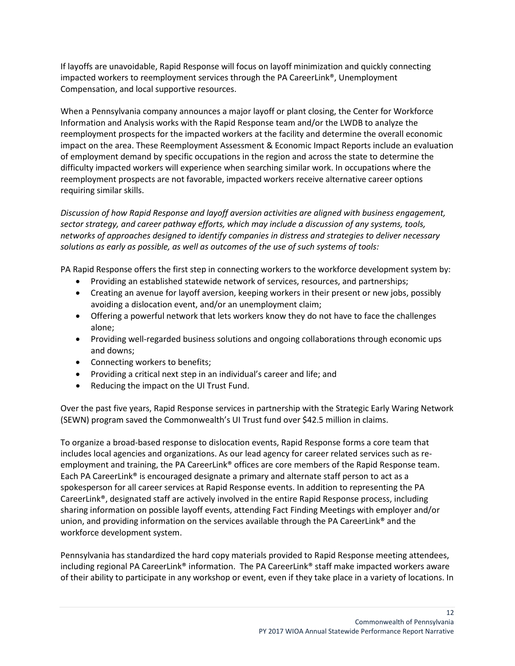If layoffs are unavoidable, Rapid Response will focus on layoff minimization and quickly connecting impacted workers to reemployment services through the PA CareerLink®, Unemployment Compensation, and local supportive resources.

When a Pennsylvania company announces a major layoff or plant closing, the Center for Workforce Information and Analysis works with the Rapid Response team and/or the LWDB to analyze the reemployment prospects for the impacted workers at the facility and determine the overall economic impact on the area. These Reemployment Assessment & Economic Impact Reports include an evaluation of employment demand by specific occupations in the region and across the state to determine the difficulty impacted workers will experience when searching similar work. In occupations where the reemployment prospects are not favorable, impacted workers receive alternative career options requiring similar skills.

*Discussion of how Rapid Response and layoff aversion activities are aligned with business engagement, sector strategy, and career pathway efforts, which may include a discussion of any systems, tools, networks of approaches designed to identify companies in distress and strategies to deliver necessary solutions as early as possible, as well as outcomes of the use of such systems of tools:*

PA Rapid Response offers the first step in connecting workers to the workforce development system by:

- Providing an established statewide network of services, resources, and partnerships;
- Creating an avenue for layoff aversion, keeping workers in their present or new jobs, possibly avoiding a dislocation event, and/or an unemployment claim;
- Offering a powerful network that lets workers know they do not have to face the challenges alone;
- Providing well-regarded business solutions and ongoing collaborations through economic ups and downs;
- Connecting workers to benefits;
- Providing a critical next step in an individual's career and life; and
- Reducing the impact on the UI Trust Fund.

Over the past five years, Rapid Response services in partnership with the Strategic Early Waring Network (SEWN) program saved the Commonwealth's UI Trust fund over \$42.5 million in claims.

To organize a broad-based response to dislocation events, Rapid Response forms a core team that includes local agencies and organizations. As our lead agency for career related services such as reemployment and training, the PA CareerLink® offices are core members of the Rapid Response team. Each PA CareerLink® is encouraged designate a primary and alternate staff person to act as a spokesperson for all career services at Rapid Response events. In addition to representing the PA CareerLink®, designated staff are actively involved in the entire Rapid Response process, including sharing information on possible layoff events, attending Fact Finding Meetings with employer and/or union, and providing information on the services available through the PA CareerLink<sup>®</sup> and the workforce development system.

Pennsylvania has standardized the hard copy materials provided to Rapid Response meeting attendees, including regional PA CareerLink® information. The PA CareerLink® staff make impacted workers aware of their ability to participate in any workshop or event, even if they take place in a variety of locations. In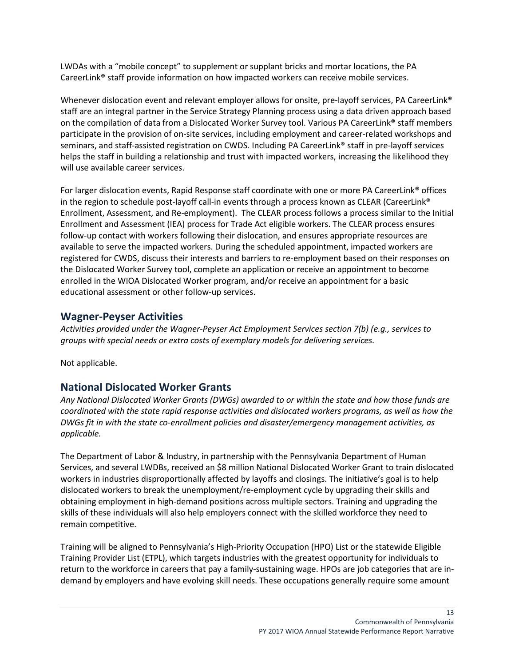LWDAs with a "mobile concept" to supplement or supplant bricks and mortar locations, the PA CareerLink® staff provide information on how impacted workers can receive mobile services.

Whenever dislocation event and relevant employer allows for onsite, pre-layoff services, PA CareerLink<sup>®</sup> staff are an integral partner in the Service Strategy Planning process using a data driven approach based on the compilation of data from a Dislocated Worker Survey tool. Various PA CareerLink® staff members participate in the provision of on-site services, including employment and career-related workshops and seminars, and staff-assisted registration on CWDS. Including PA CareerLink® staff in pre-layoff services helps the staff in building a relationship and trust with impacted workers, increasing the likelihood they will use available career services.

For larger dislocation events, Rapid Response staff coordinate with one or more PA CareerLink® offices in the region to schedule post-layoff call-in events through a process known as CLEAR (CareerLink® Enrollment, Assessment, and Re-employment). The CLEAR process follows a process similar to the Initial Enrollment and Assessment (IEA) process for Trade Act eligible workers. The CLEAR process ensures follow-up contact with workers following their dislocation, and ensures appropriate resources are available to serve the impacted workers. During the scheduled appointment, impacted workers are registered for CWDS, discuss their interests and barriers to re-employment based on their responses on the Dislocated Worker Survey tool, complete an application or receive an appointment to become enrolled in the WIOA Dislocated Worker program, and/or receive an appointment for a basic educational assessment or other follow-up services.

### <span id="page-12-0"></span>**Wagner-Peyser Activities**

*Activities provided under the Wagner-Peyser Act Employment Services section 7(b) (e.g., services to groups with special needs or extra costs of exemplary models for delivering services.*

Not applicable.

### <span id="page-12-1"></span>**National Dislocated Worker Grants**

*Any National Dislocated Worker Grants (DWGs) awarded to or within the state and how those funds are coordinated with the state rapid response activities and dislocated workers programs, as well as how the DWGs fit in with the state co-enrollment policies and disaster/emergency management activities, as applicable.*

The Department of Labor & Industry, in partnership with the Pennsylvania Department of Human Services, and several LWDBs, received an \$8 million National Dislocated Worker Grant to train dislocated workers in industries disproportionally affected by layoffs and closings. The initiative's goal is to help dislocated workers to break the unemployment/re-employment cycle by upgrading their skills and obtaining employment in high-demand positions across multiple sectors. Training and upgrading the skills of these individuals will also help employers connect with the skilled workforce they need to remain competitive.

Training will be aligned to Pennsylvania's High-Priority Occupation (HPO) List or the statewide Eligible Training Provider List (ETPL), which targets industries with the greatest opportunity for individuals to return to the workforce in careers that pay a family-sustaining wage. HPOs are job categories that are indemand by employers and have evolving skill needs. These occupations generally require some amount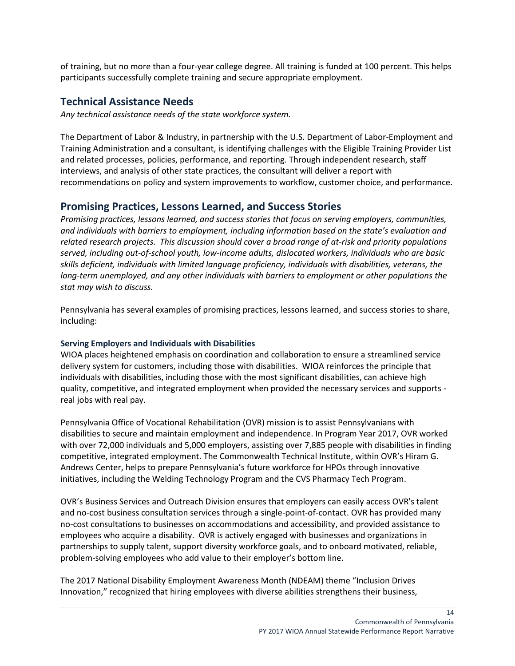of training, but no more than a four-year college degree. All training is funded at 100 percent. This helps participants successfully complete training and secure appropriate employment.

### <span id="page-13-0"></span>**Technical Assistance Needs**

*Any technical assistance needs of the state workforce system.*

The Department of Labor & Industry, in partnership with the U.S. Department of Labor-Employment and Training Administration and a consultant, is identifying challenges with the Eligible Training Provider List and related processes, policies, performance, and reporting. Through independent research, staff interviews, and analysis of other state practices, the consultant will deliver a report with recommendations on policy and system improvements to workflow, customer choice, and performance.

### <span id="page-13-1"></span>**Promising Practices, Lessons Learned, and Success Stories**

*Promising practices, lessons learned, and success stories that focus on serving employers, communities, and individuals with barriers to employment, including information based on the state's evaluation and related research projects. This discussion should cover a broad range of at-risk and priority populations served, including out-of-school youth, low-income adults, dislocated workers, individuals who are basic skills deficient, individuals with limited language proficiency, individuals with disabilities, veterans, the long-term unemployed, and any other individuals with barriers to employment or other populations the stat may wish to discuss.*

Pennsylvania has several examples of promising practices, lessons learned, and success stories to share, including:

#### <span id="page-13-2"></span>**Serving Employers and Individuals with Disabilities**

WIOA places heightened emphasis on coordination and collaboration to ensure a streamlined service delivery system for customers, including those with disabilities. WIOA reinforces the principle that individuals with disabilities, including those with the most significant disabilities, can achieve high quality, competitive, and integrated employment when provided the necessary services and supports real jobs with real pay.

Pennsylvania Office of Vocational Rehabilitation (OVR) mission is to assist Pennsylvanians with disabilities to secure and maintain employment and independence. In Program Year 2017, OVR worked with over 72,000 individuals and 5,000 employers, assisting over 7,885 people with disabilities in finding competitive, integrated employment. The Commonwealth Technical Institute, within OVR's Hiram G. Andrews Center, helps to prepare Pennsylvania's future workforce for HPOs through innovative initiatives, including the Welding Technology Program and the CVS Pharmacy Tech Program.

OVR's Business Services and Outreach Division ensures that employers can easily access OVR's talent and no-cost business consultation services through a single-point-of-contact. OVR has provided many no-cost consultations to businesses on accommodations and accessibility, and provided assistance to employees who acquire a disability. OVR is actively engaged with businesses and organizations in partnerships to supply talent, support diversity workforce goals, and to onboard motivated, reliable, problem-solving employees who add value to their employer's bottom line.

The 2017 National Disability Employment Awareness Month (NDEAM) theme "Inclusion Drives Innovation," recognized that hiring employees with diverse abilities strengthens their business,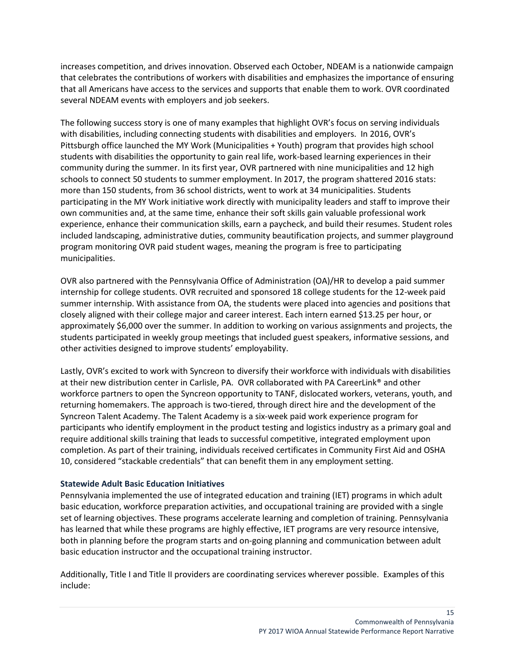increases competition, and drives innovation. Observed each October, NDEAM is a nationwide campaign that celebrates the contributions of workers with disabilities and emphasizes the importance of ensuring that all Americans have access to the services and supports that enable them to work. OVR coordinated several NDEAM events with employers and job seekers.

The following success story is one of many examples that highlight OVR's focus on serving individuals with disabilities, including connecting students with disabilities and employers. In 2016, OVR's Pittsburgh office launched the MY Work (Municipalities + Youth) program that provides high school students with disabilities the opportunity to gain real life, work-based learning experiences in their community during the summer. In its first year, OVR partnered with nine municipalities and 12 high schools to connect 50 students to summer employment. In 2017, the program shattered 2016 stats: more than 150 students, from 36 school districts, went to work at 34 municipalities. Students participating in the MY Work initiative work directly with municipality leaders and staff to improve their own communities and, at the same time, enhance their soft skills gain valuable professional work experience, enhance their communication skills, earn a paycheck, and build their resumes. Student roles included landscaping, administrative duties, community beautification projects, and summer playground program monitoring OVR paid student wages, meaning the program is free to participating municipalities.

OVR also partnered with the Pennsylvania Office of Administration (OA)/HR to develop a paid summer internship for college students. OVR recruited and sponsored 18 college students for the 12-week paid summer internship. With assistance from OA, the students were placed into agencies and positions that closely aligned with their college major and career interest. Each intern earned \$13.25 per hour, or approximately \$6,000 over the summer. In addition to working on various assignments and projects, the students participated in weekly group meetings that included guest speakers, informative sessions, and other activities designed to improve students' employability.

Lastly, OVR's excited to work with Syncreon to diversify their workforce with individuals with disabilities at their new distribution center in Carlisle, PA. OVR collaborated with PA CareerLink® and other workforce partners to open the Syncreon opportunity to TANF, dislocated workers, veterans, youth, and returning homemakers. The approach is two-tiered, through direct hire and the development of the Syncreon Talent Academy. The Talent Academy is a six-week paid work experience program for participants who identify employment in the product testing and logistics industry as a primary goal and require additional skills training that leads to successful competitive, integrated employment upon completion. As part of their training, individuals received certificates in Community First Aid and OSHA 10, considered "stackable credentials" that can benefit them in any employment setting.

#### <span id="page-14-0"></span>**Statewide Adult Basic Education Initiatives**

Pennsylvania implemented the use of integrated education and training (IET) programs in which adult basic education, workforce preparation activities, and occupational training are provided with a single set of learning objectives. These programs accelerate learning and completion of training. Pennsylvania has learned that while these programs are highly effective, IET programs are very resource intensive, both in planning before the program starts and on-going planning and communication between adult basic education instructor and the occupational training instructor.

Additionally, Title I and Title II providers are coordinating services wherever possible. Examples of this include: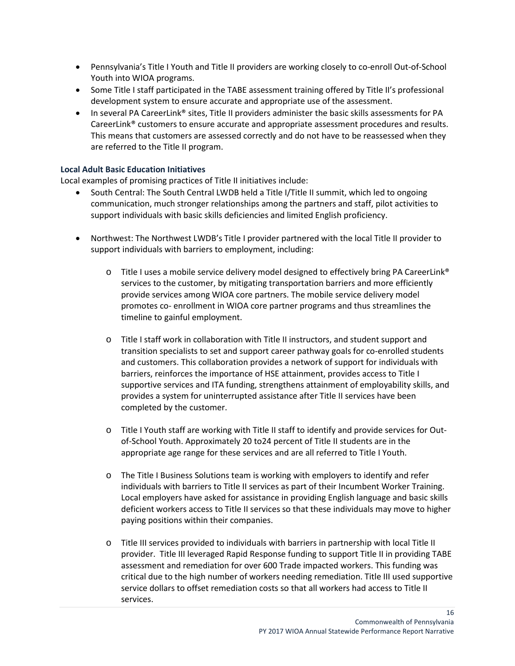- Pennsylvania's Title I Youth and Title II providers are working closely to co-enroll Out-of-School Youth into WIOA programs.
- Some Title I staff participated in the TABE assessment training offered by Title II's professional development system to ensure accurate and appropriate use of the assessment.
- In several PA CareerLink® sites, Title II providers administer the basic skills assessments for PA CareerLink® customers to ensure accurate and appropriate assessment procedures and results. This means that customers are assessed correctly and do not have to be reassessed when they are referred to the Title II program.

#### <span id="page-15-0"></span>**Local Adult Basic Education Initiatives**

Local examples of promising practices of Title II initiatives include:

- South Central: The South Central LWDB held a Title I/Title II summit, which led to ongoing communication, much stronger relationships among the partners and staff, pilot activities to support individuals with basic skills deficiencies and limited English proficiency.
- Northwest: The Northwest LWDB's Title I provider partnered with the local Title II provider to support individuals with barriers to employment, including:
	- $\circ$  Title I uses a mobile service delivery model designed to effectively bring PA CareerLink® services to the customer, by mitigating transportation barriers and more efficiently provide services among WIOA core partners. The mobile service delivery model promotes co- enrollment in WIOA core partner programs and thus streamlines the timeline to gainful employment.
	- o Title I staff work in collaboration with Title II instructors, and student support and transition specialists to set and support career pathway goals for co-enrolled students and customers. This collaboration provides a network of support for individuals with barriers, reinforces the importance of HSE attainment, provides access to Title I supportive services and ITA funding, strengthens attainment of employability skills, and provides a system for uninterrupted assistance after Title II services have been completed by the customer.
	- o Title I Youth staff are working with Title II staff to identify and provide services for Outof-School Youth. Approximately 20 to24 percent of Title II students are in the appropriate age range for these services and are all referred to Title I Youth.
	- o The Title I Business Solutions team is working with employers to identify and refer individuals with barriers to Title II services as part of their Incumbent Worker Training. Local employers have asked for assistance in providing English language and basic skills deficient workers access to Title II services so that these individuals may move to higher paying positions within their companies.
	- o Title III services provided to individuals with barriers in partnership with local Title II provider. Title III leveraged Rapid Response funding to support Title II in providing TABE assessment and remediation for over 600 Trade impacted workers. This funding was critical due to the high number of workers needing remediation. Title III used supportive service dollars to offset remediation costs so that all workers had access to Title II services.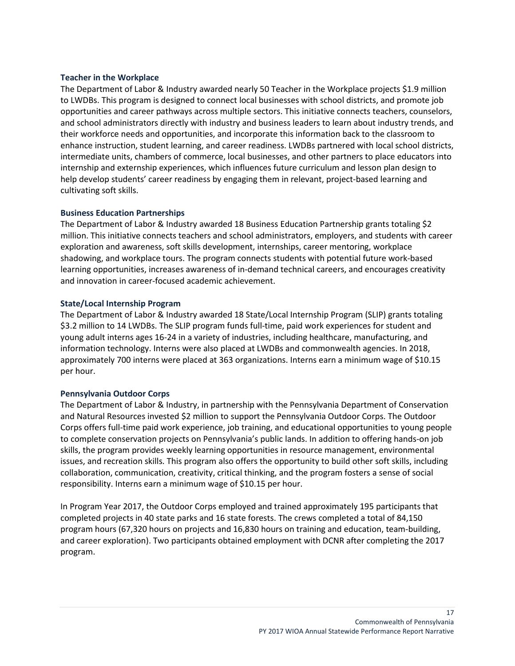#### <span id="page-16-0"></span>**Teacher in the Workplace**

The Department of Labor & Industry awarded nearly 50 Teacher in the Workplace projects \$1.9 million to LWDBs. This program is designed to connect local businesses with school districts, and promote job opportunities and career pathways across multiple sectors. This initiative connects teachers, counselors, and school administrators directly with industry and business leaders to learn about industry trends, and their workforce needs and opportunities, and incorporate this information back to the classroom to enhance instruction, student learning, and career readiness. LWDBs partnered with local school districts, intermediate units, chambers of commerce, local businesses, and other partners to place educators into internship and externship experiences, which influences future curriculum and lesson plan design to help develop students' career readiness by engaging them in relevant, project-based learning and cultivating soft skills.

#### <span id="page-16-1"></span>**Business Education Partnerships**

The Department of Labor & Industry awarded 18 Business Education Partnership grants totaling \$2 million. This initiative connects teachers and school administrators, employers, and students with career exploration and awareness, soft skills development, internships, career mentoring, workplace shadowing, and workplace tours. The program connects students with potential future work-based learning opportunities, increases awareness of in-demand technical careers, and encourages creativity and innovation in career-focused academic achievement.

#### <span id="page-16-2"></span>**State/Local Internship Program**

The Department of Labor & Industry awarded 18 State/Local Internship Program (SLIP) grants totaling \$3.2 million to 14 LWDBs. The SLIP program funds full-time, paid work experiences for student and young adult interns ages 16-24 in a variety of industries, including healthcare, manufacturing, and information technology. Interns were also placed at LWDBs and commonwealth agencies. In 2018, approximately 700 interns were placed at 363 organizations. Interns earn a minimum wage of \$10.15 per hour.

#### <span id="page-16-3"></span>**Pennsylvania Outdoor Corps**

The Department of Labor & Industry, in partnership with the Pennsylvania Department of Conservation and Natural Resources invested \$2 million to support the Pennsylvania Outdoor Corps. The Outdoor Corps offers full-time paid work experience, job training, and educational opportunities to young people to complete conservation projects on Pennsylvania's public lands. In addition to offering hands-on job skills, the program provides weekly learning opportunities in resource management, environmental issues, and recreation skills. This program also offers the opportunity to build other soft skills, including collaboration, communication, creativity, critical thinking, and the program fosters a sense of social responsibility. Interns earn a minimum wage of \$10.15 per hour.

In Program Year 2017, the Outdoor Corps employed and trained approximately 195 participants that completed projects in 40 state parks and 16 state forests. The crews completed a total of 84,150 program hours (67,320 hours on projects and 16,830 hours on training and education, team-building, and career exploration). Two participants obtained employment with DCNR after completing the 2017 program.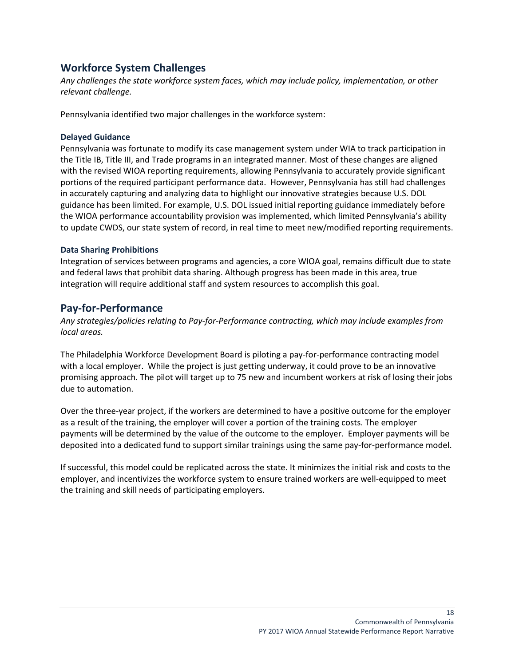### <span id="page-17-0"></span>**Workforce System Challenges**

*Any challenges the state workforce system faces, which may include policy, implementation, or other relevant challenge.*

Pennsylvania identified two major challenges in the workforce system:

#### <span id="page-17-1"></span>**Delayed Guidance**

Pennsylvania was fortunate to modify its case management system under WIA to track participation in the Title IB, Title III, and Trade programs in an integrated manner. Most of these changes are aligned with the revised WIOA reporting requirements, allowing Pennsylvania to accurately provide significant portions of the required participant performance data. However, Pennsylvania has still had challenges in accurately capturing and analyzing data to highlight our innovative strategies because U.S. DOL guidance has been limited. For example, U.S. DOL issued initial reporting guidance immediately before the WIOA performance accountability provision was implemented, which limited Pennsylvania's ability to update CWDS, our state system of record, in real time to meet new/modified reporting requirements.

#### <span id="page-17-2"></span>**Data Sharing Prohibitions**

Integration of services between programs and agencies, a core WIOA goal, remains difficult due to state and federal laws that prohibit data sharing. Although progress has been made in this area, true integration will require additional staff and system resources to accomplish this goal.

### <span id="page-17-3"></span>**Pay-for-Performance**

*Any strategies/policies relating to Pay-for-Performance contracting, which may include examples from local areas.*

The Philadelphia Workforce Development Board is piloting a pay-for-performance contracting model with a local employer. While the project is just getting underway, it could prove to be an innovative promising approach. The pilot will target up to 75 new and incumbent workers at risk of losing their jobs due to automation.

Over the three-year project, if the workers are determined to have a positive outcome for the employer as a result of the training, the employer will cover a portion of the training costs. The employer payments will be determined by the value of the outcome to the employer. Employer payments will be deposited into a dedicated fund to support similar trainings using the same pay-for-performance model.

If successful, this model could be replicated across the state. It minimizes the initial risk and costs to the employer, and incentivizes the workforce system to ensure trained workers are well-equipped to meet the training and skill needs of participating employers.